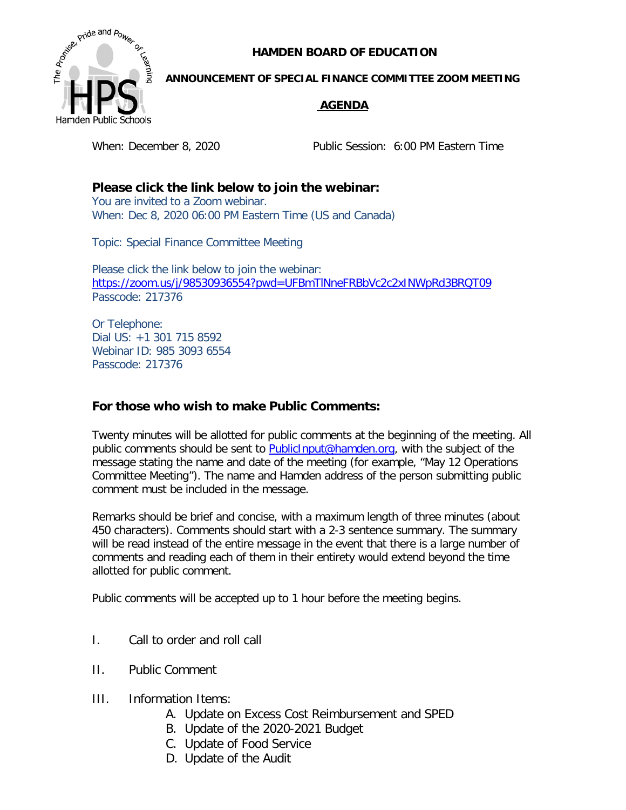**HAMDEN BOARD OF EDUCATION**



## **ANNOUNCEMENT OF SPECIAL FINANCE COMMITTEE ZOOM MEETING**

## **AGENDA**

When: December 8, 2020 Public Session: 6:00 PM Eastern Time

**Please click the link below to join the webinar:**  You are invited to a Zoom webinar. When: Dec 8, 2020 06:00 PM Eastern Time (US and Canada)

Topic: Special Finance Committee Meeting

Please click the link below to join the webinar: <https://zoom.us/j/98530936554?pwd=UFBmTlNneFRBbVc2c2xINWpRd3BRQT09> Passcode: 217376

Or Telephone: Dial US: +1 301 715 8592 Webinar ID: 985 3093 6554 Passcode: 217376

## **For those who wish to make Public Comments:**

Twenty minutes will be allotted for public comments at the beginning of the meeting. All public comments should be sent to **PublicInput@hamden.org**, with the subject of the message stating the name and date of the meeting (for example, "May 12 Operations Committee Meeting"). The name and Hamden address of the person submitting public comment must be included in the message.

Remarks should be brief and concise, with a maximum length of three minutes (about 450 characters). Comments should start with a 2-3 sentence summary. The summary will be read instead of the entire message in the event that there is a large number of comments and reading each of them in their entirety would extend beyond the time allotted for public comment.

Public comments will be accepted up to 1 hour before the meeting begins.

- I. Call to order and roll call
- II. Public Comment
- III. Information Items:
	- A. Update on Excess Cost Reimbursement and SPED
	- B. Update of the 2020-2021 Budget
	- C. Update of Food Service
	- D. Update of the Audit